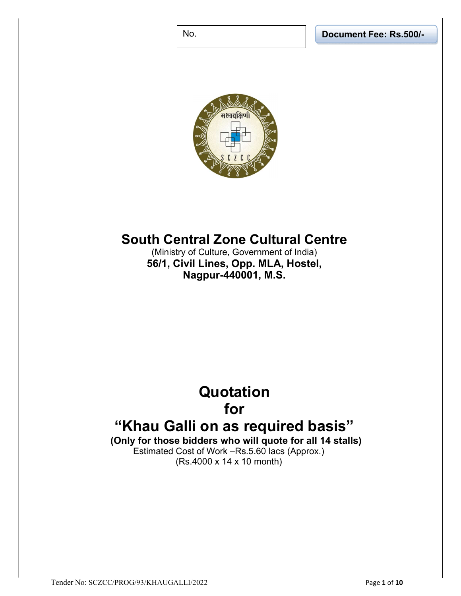No. Document Fee: Rs.500/-



## South Central Zone Cultural Centre

(Ministry of Culture, Government of India) 56/1, Civil Lines, Opp. MLA, Hostel, Nagpur-440001, M.S.

### **Quotation** for

# "Khau Galli on as required basis"

(Only for those bidders who will quote for all 14 stalls) Estimated Cost of Work –Rs.5.60 lacs (Approx.) (Rs.4000 x 14 x 10 month)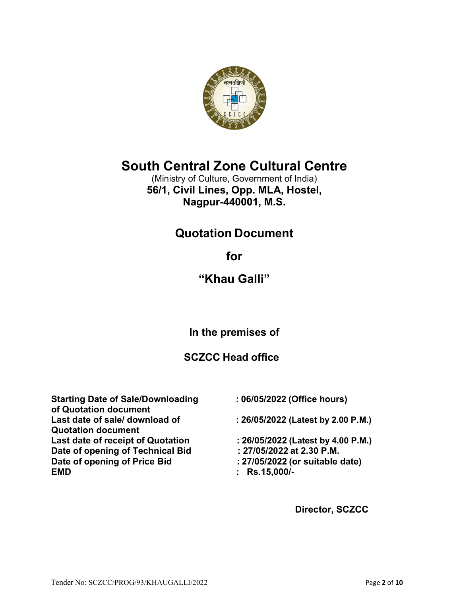

## South Central Zone Cultural Centre

(Ministry of Culture, Government of India) 56/1, Civil Lines, Opp. MLA, Hostel, Nagpur-440001, M.S.

### Quotation Document

for

### "Khau Galli"

In the premises of

### SCZCC Head office

Starting Date of Sale/Downloading : 06/05/2022 (Office hours) of Quotation document Last date of sale/ download of : 26/05/2022 (Latest by 2.00 P.M.) Quotation document Last date of receipt of Quotation : 26/05/2022 (Latest by 4.00 P.M.) Date of opening of Technical Bid : 27/05/2022 at 2.30 P.M. Date of opening of Price Bid : 27/05/2022 (or suitable date) EMD : Rs.15,000/-

- 
- 
- 
- 
- 
- 

Director, SCZCC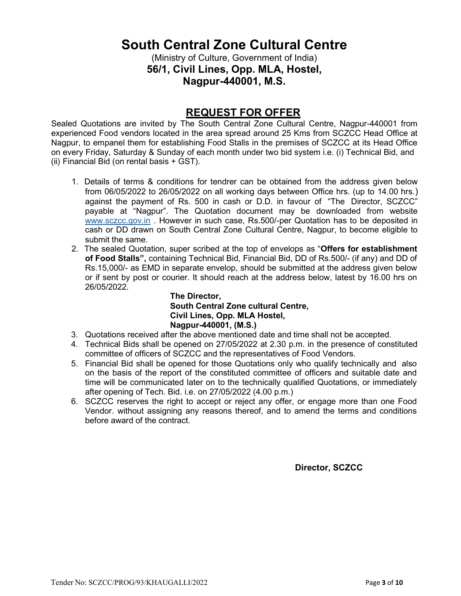### South Central Zone Cultural Centre

(Ministry of Culture, Government of India) 56/1, Civil Lines, Opp. MLA, Hostel, Nagpur-440001, M.S.

### REQUEST FOR OFFER

Sealed Quotations are invited by The South Central Zone Cultural Centre, Nagpur-440001 from experienced Food vendors located in the area spread around 25 Kms from SCZCC Head Office at Nagpur, to empanel them for establishing Food Stalls in the premises of SCZCC at its Head Office on every Friday, Saturday & Sunday of each month under two bid system i.e. (i) Technical Bid, and (ii) Financial Bid (on rental basis + GST).

- 1. Details of terms & conditions for tendrer can be obtained from the address given below from 06/05/2022 to 26/05/2022 on all working days between Office hrs. (up to 14.00 hrs.) against the payment of Rs. 500 in cash or D.D. in favour of "The Director, SCZCC" payable at "Nagpur". The Quotation document may be downloaded from website www.sczcc.gov.in . However in such case, Rs.500/-per Quotation has to be deposited in cash or DD drawn on South Central Zone Cultural Centre, Nagpur, to become eligible to submit the same.
- 2. The sealed Quotation, super scribed at the top of envelops as "Offers for establishment of Food Stalls", containing Technical Bid, Financial Bid, DD of Rs.500/- (if any) and DD of Rs.15,000/- as EMD in separate envelop, should be submitted at the address given below or if sent by post or courier. It should reach at the address below, latest by 16.00 hrs on 26/05/2022.

The Director, South Central Zone cultural Centre, Civil Lines, Opp. MLA Hostel, Nagpur-440001, (M.S.)

- 3. Quotations received after the above mentioned date and time shall not be accepted.
- 4. Technical Bids shall be opened on 27/05/2022 at 2.30 p.m. in the presence of constituted committee of officers of SCZCC and the representatives of Food Vendors.
- 5. Financial Bid shall be opened for those Quotations only who qualify technically and also on the basis of the report of the constituted committee of officers and suitable date and time will be communicated later on to the technically qualified Quotations, or immediately after opening of Tech. Bid. i.e. on 27/05/2022 (4.00 p.m.)
- 6. SCZCC reserves the right to accept or reject any offer, or engage more than one Food Vendor. without assigning any reasons thereof, and to amend the terms and conditions before award of the contract.

Director, SCZCC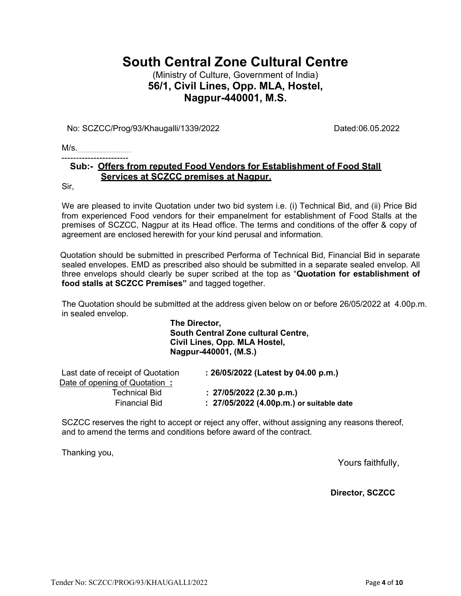### South Central Zone Cultural Centre

### (Ministry of Culture, Government of India) 56/1, Civil Lines, Opp. MLA, Hostel, Nagpur-440001, M.S.

No: SCZCC/Prog/93/Khaugalli/1339/2022 Dated:06.05.2022

M/s.

#### Sub:- Offers from reputed Food Vendors for Establishment of Food Stall Services at SCZCC premises at Nagpur.

Sir,

We are pleased to invite Quotation under two bid system i.e. (i) Technical Bid, and (ii) Price Bid from experienced Food vendors for their empanelment for establishment of Food Stalls at the premises of SCZCC, Nagpur at its Head office. The terms and conditions of the offer & copy of agreement are enclosed herewith for your kind perusal and information.

Quotation should be submitted in prescribed Performa of Technical Bid, Financial Bid in separate sealed envelopes. EMD as prescribed also should be submitted in a separate sealed envelop. All three envelops should clearly be super scribed at the top as "Quotation for establishment of food stalls at SCZCC Premises" and tagged together.

The Quotation should be submitted at the address given below on or before 26/05/2022 at 4.00p.m. in sealed envelop.

> The Director, South Central Zone cultural Centre, Civil Lines, Opp. MLA Hostel, Nagpur-440001, (M.S.)

| Last date of receipt of Quotation<br>Date of opening of Quotation: | : 26/05/2022 (Latest by 04.00 p.m.)      |
|--------------------------------------------------------------------|------------------------------------------|
| <b>Technical Bid</b>                                               | $: 27/05/2022$ (2.30 p.m.)               |
| <b>Financial Bid</b>                                               | : 27/05/2022 (4.00p.m.) or suitable date |

SCZCC reserves the right to accept or reject any offer, without assigning any reasons thereof, and to amend the terms and conditions before award of the contract.

Thanking you,

Yours faithfully,

Director, SCZCC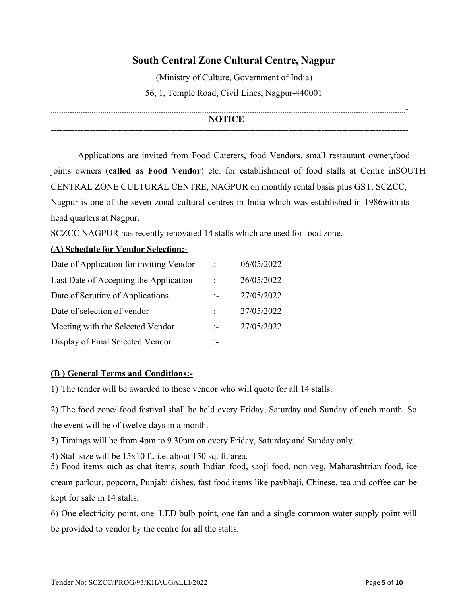### South Central Zone Cultural Centre, Nagpur

(Ministry of Culture, Government of India) 56, 1, Temple Road, Civil Lines, Nagpur-440001

#### - **NOTICE**

-----------------------------------------------------------------------------------------------------------------------

Applications are invited from Food Caterers, food Vendors, small restaurant owner, food joints owners (called as Food Vendor) etc. for establishment of food stalls at Centre in SOUTH CENTRAL ZONE CULTURAL CENTRE, NAGPUR on monthly rental basis plus GST. SCZCC, Nagpur is one of the seven zonal cultural centres in India which was established in 1986 with its head quarters at Nagpur.

SCZCC NAGPUR has recently renovated 14 stalls which are used for food zone.

#### (A) Schedule for Vendor Selection:-

| Date of Application for inviting Vendor | $\therefore$  | 06/05/2022 |
|-----------------------------------------|---------------|------------|
| Last Date of Accepting the Application  | $\mathbf{I}$  | 26/05/2022 |
| Date of Scrutiny of Applications        |               | 27/05/2022 |
| Date of selection of vendor             |               | 27/05/2022 |
| Meeting with the Selected Vendor        | $\mathcal{L}$ | 27/05/2022 |
| Display of Final Selected Vendor        | ÷.            |            |

#### (B ) General Terms and Conditions:-

1) The tender will be awarded to those vendor who will quote for all 14 stalls.

2) The food zone/ food festival shall be held every Friday, Saturday and Sunday of each month. So the event will be of twelve days in a month.

3) Timings will be from 4pm to 9.30pm on every Friday, Saturday and Sunday only.

4) Stall size will be 15x10 ft. i.e. about 150 sq. ft. area.

5) Food items such as chat items, south Indian food, saoji food, non veg, Maharashtrian food, ice cream parlour, popcorn, Punjabi dishes, fast food items like pavbhaji, Chinese, tea and coffee can be kept for sale in 14 stalls.

6) One electricity point, one LED bulb point, one fan and a single common water supply point will be provided to vendor by the centre for all the stalls.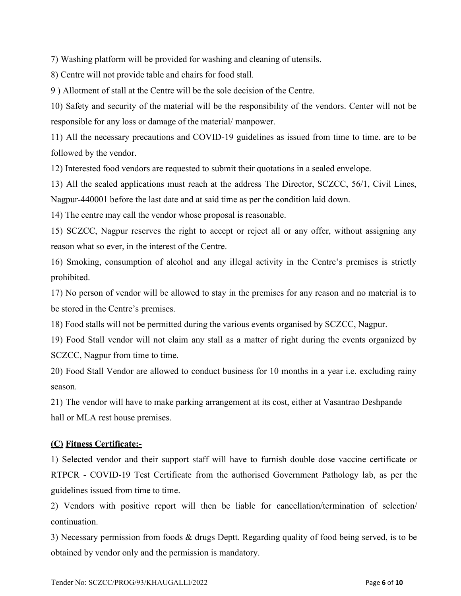7) Washing platform will be provided for washing and cleaning of utensils.

8) Centre will not provide table and chairs for food stall.

9 ) Allotment of stall at the Centre will be the sole decision of the Centre.

10) Safety and security of the material will be the responsibility of the vendors. Center will not be responsible for any loss or damage of the material/ manpower.

11) All the necessary precautions and COVID-19 guidelines as issued from time to time. are to be followed by the vendor.

12) Interested food vendors are requested to submit their quotations in a sealed envelope.

13) All the sealed applications must reach at the address The Director, SCZCC, 56/1, Civil Lines, Nagpur-440001 before the last date and at said time as per the condition laid down.

14) The centre may call the vendor whose proposal is reasonable.

15) SCZCC, Nagpur reserves the right to accept or reject all or any offer, without assigning any reason what so ever, in the interest of the Centre.

16) Smoking, consumption of alcohol and any illegal activity in the Centre's premises is strictly prohibited.

17) No person of vendor will be allowed to stay in the premises for any reason and no material is to be stored in the Centre's premises.

18) Food stalls will not be permitted during the various events organised by SCZCC, Nagpur.

19) Food Stall vendor will not claim any stall as a matter of right during the events organized by SCZCC, Nagpur from time to time.

20) Food Stall Vendor are allowed to conduct business for 10 months in a year i.e. excluding rainy season.

21) The vendor will have to make parking arrangement at its cost, either at Vasantrao Deshpande hall or MLA rest house premises.

#### (C) Fitness Certificate:-

1) Selected vendor and their support staff will have to furnish double dose vaccine certificate or RTPCR - COVID-19 Test Certificate from the authorised Government Pathology lab, as per the guidelines issued from time to time.

2) Vendors with positive report will then be liable for cancellation/termination of selection/ continuation.

3) Necessary permission from foods & drugs Deptt. Regarding quality of food being served, is to be obtained by vendor only and the permission is mandatory.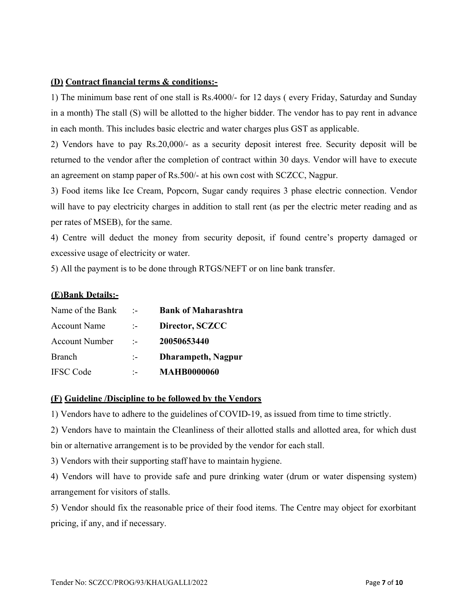#### (D) Contract financial terms & conditions:-

1) The minimum base rent of one stall is Rs.4000/- for 12 days ( every Friday, Saturday and Sunday in a month) The stall (S) will be allotted to the higher bidder. The vendor has to pay rent in advance in each month. This includes basic electric and water charges plus GST as applicable.

2) Vendors have to pay Rs.20,000/- as a security deposit interest free. Security deposit will be returned to the vendor after the completion of contract within 30 days. Vendor will have to execute an agreement on stamp paper of Rs.500/- at his own cost with SCZCC, Nagpur.

3) Food items like Ice Cream, Popcorn, Sugar candy requires 3 phase electric connection. Vendor will have to pay electricity charges in addition to stall rent (as per the electric meter reading and as per rates of MSEB), for the same.

4) Centre will deduct the money from security deposit, if found centre's property damaged or excessive usage of electricity or water.

5) All the payment is to be done through RTGS/NEFT or on line bank transfer.

#### (E)Bank Details:-

| Name of the Bank      | $\cdot$ .                     | <b>Bank of Maharashtra</b> |
|-----------------------|-------------------------------|----------------------------|
| <b>Account Name</b>   | $1 - 1$                       | Director, SCZCC            |
| <b>Account Number</b> | $\cdot$ $\cdot$               | 20050653440                |
| Branch                | $\mathcal{L}^{\mathcal{L}}$ . | <b>Dharampeth, Nagpur</b>  |
| <b>IFSC</b> Code      | $\mathbf{L}$                  | <b>MAHB0000060</b>         |

#### (F) Guideline /Discipline to be followed by the Vendors

1) Vendors have to adhere to the guidelines of COVID-19, as issued from time to time strictly.

2) Vendors have to maintain the Cleanliness of their allotted stalls and allotted area, for which dust bin or alternative arrangement is to be provided by the vendor for each stall.

3) Vendors with their supporting staff have to maintain hygiene.

4) Vendors will have to provide safe and pure drinking water (drum or water dispensing system) arrangement for visitors of stalls.

5) Vendor should fix the reasonable price of their food items. The Centre may object for exorbitant pricing, if any, and if necessary.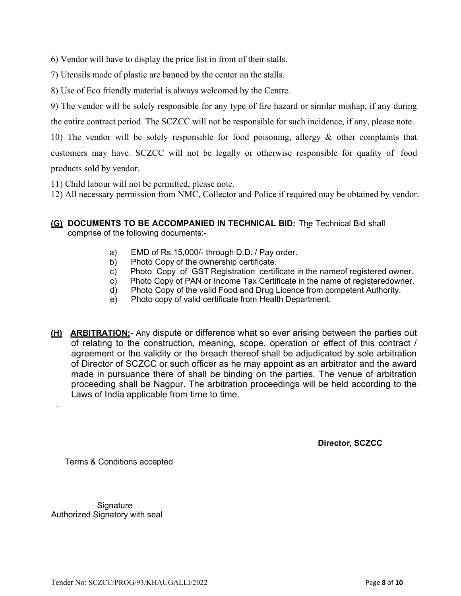6) Vendor will have to display the price list in front of their stalls.

7) Utensils made of plastic are banned by the center on the stalls.

8) Use of Eco friendly material is always welcomed by the Centre.

9) The vendor will be solely responsible for any type of fire hazard or similar mishap, if any during

the entire contract period. The SCZCC will not be responsible for such incidence, if any, please note.

10) The vendor will be solely responsible for food poisoning, allergy & other complaints that customers may have. SCZCC will not be legally or otherwise responsible for quality of food

products sold by vendor.

11) Child labour will not be permitted, please note.

12) All necessary permission from NMC, Collector and Police if required may be obtained by vendor.

- (G) DOCUMENTS TO BE ACCOMPANIED IN TECHNICAL BID: The Technical Bid shall comprise of the following documents:
	- a) EMD of Rs.15,000/- through D.D. / Pay order.
	- b) Photo Copy of the ownership certificate.
	- c) Photo Copy of GST Registration certificate in the name of registered owner.
	- c) Photo Copy of PAN or Income Tax Certificate in the name of registeredowner.
	- d) Photo Copy of the valid Food and Drug Licence from competent Authority.
	- e) Photo copy of valid certificate from Health Department.
- **(H) ARBITRATION:** Any dispute or difference what so ever arising between the parties out of relating to the construction, meaning, scope, operation or effect of this contract / agreement or the validity or the breach thereof shall be adjudicated by sole arbitration of Director of SCZCC or such officer as he may appoint as an arbitrator and the award made in pursuance there of shall be binding on the parties. The venue of arbitration proceeding shall be Nagpur. The arbitration proceedings will be held according to the Laws of India applicable from time to time.

Director, SCZCC

Terms & Conditions accepted

**Signature** Authorized Signatory with seal

.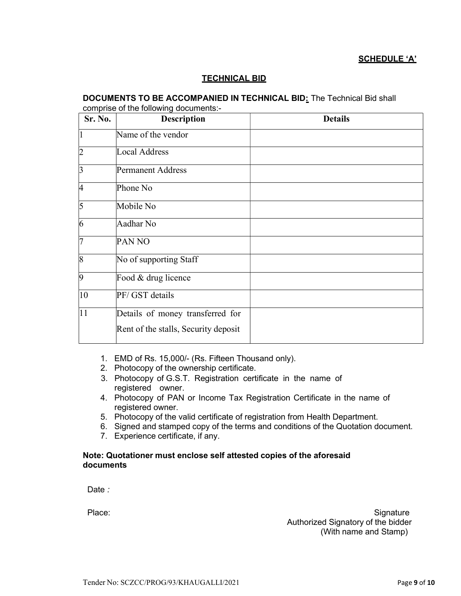#### SCHEDULE 'A'

#### TECHNICAL BID

#### DOCUMENTS TO BE ACCOMPANIED IN TECHNICAL BID: The Technical Bid shall  $\frac{1}{2}$  of the following documents:

| Sr. No.         | <b>Description</b>                   | <b>Details</b> |
|-----------------|--------------------------------------|----------------|
|                 | Name of the vendor                   |                |
| $ 2\>$          | Local Address                        |                |
| $\overline{3}$  | <b>Permanent Address</b>             |                |
| 4               | Phone No                             |                |
| $\overline{5}$  | Mobile No                            |                |
| $\overline{6}$  | Aadhar No                            |                |
| 7               | <b>PAN NO</b>                        |                |
| $\overline{8}$  | No of supporting Staff               |                |
| $\overline{9}$  | Food & drug licence                  |                |
| $ 10\rangle$    | PF/ GST details                      |                |
| $\overline{11}$ | Details of money transferred for     |                |
|                 | Rent of the stalls, Security deposit |                |

- 1. EMD of Rs. 15,000/- (Rs. Fifteen Thousand only).
- 2. Photocopy of the ownership certificate.
- 3. Photocopy of G.S.T. Registration certificate in the name of registered owner.
- 4. Photocopy of PAN or Income Tax Registration Certificate in the name of registered owner.
- 5. Photocopy of the valid certificate of registration from Health Department.
- 6. Signed and stamped copy of the terms and conditions of the Quotation document.
- 7. Experience certificate, if any.

#### Note: Quotationer must enclose self attested copies of the aforesaid documents

Date :

Place: Signature Contract Contract Contract Contract Contract Contract Contract Contract Contract Contract Contract Contract Contract Contract Contract Contract Contract Contract Contract Contract Contract Contract Contrac Authorized Signatory of the bidder (With name and Stamp)